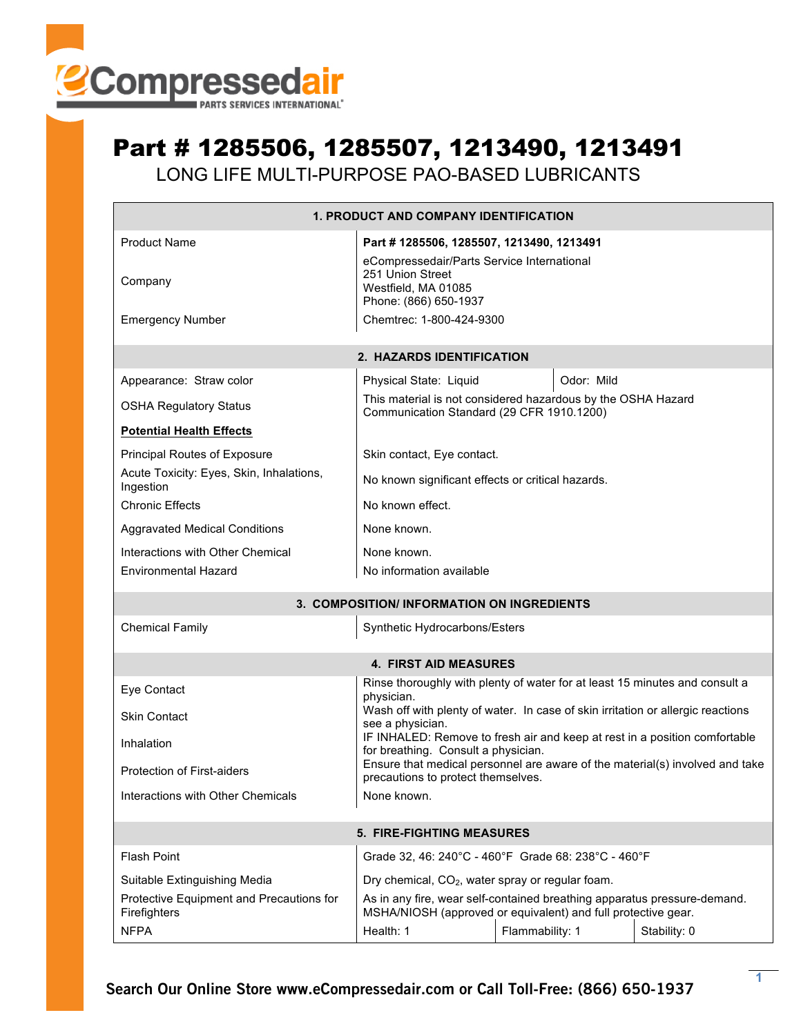

## Part # 1285506, 1285507, 1213490, 1213491

LONG LIFE MULTI-PURPOSE PAO-BASED LUBRICANTS

| <b>1. PRODUCT AND COMPANY IDENTIFICATION</b>             |                                                                                                                                           |            |  |  |  |  |  |
|----------------------------------------------------------|-------------------------------------------------------------------------------------------------------------------------------------------|------------|--|--|--|--|--|
| <b>Product Name</b><br>Company                           | Part #1285506, 1285507, 1213490, 1213491<br>eCompressedair/Parts Service International<br>251 Union Street<br>Westfield, MA 01085         |            |  |  |  |  |  |
| <b>Emergency Number</b>                                  | Phone: (866) 650-1937<br>Chemtrec: 1-800-424-9300                                                                                         |            |  |  |  |  |  |
| 2. HAZARDS IDENTIFICATION                                |                                                                                                                                           |            |  |  |  |  |  |
| Appearance: Straw color                                  | Physical State: Liquid                                                                                                                    | Odor: Mild |  |  |  |  |  |
| <b>OSHA Regulatory Status</b>                            | This material is not considered hazardous by the OSHA Hazard<br>Communication Standard (29 CFR 1910.1200)                                 |            |  |  |  |  |  |
| <b>Potential Health Effects</b>                          |                                                                                                                                           |            |  |  |  |  |  |
| Principal Routes of Exposure                             | Skin contact, Eye contact.                                                                                                                |            |  |  |  |  |  |
| Acute Toxicity: Eyes, Skin, Inhalations,<br>Ingestion    | No known significant effects or critical hazards.                                                                                         |            |  |  |  |  |  |
| <b>Chronic Effects</b>                                   | No known effect.                                                                                                                          |            |  |  |  |  |  |
| <b>Aggravated Medical Conditions</b>                     | None known.                                                                                                                               |            |  |  |  |  |  |
| Interactions with Other Chemical                         | None known.                                                                                                                               |            |  |  |  |  |  |
| <b>Environmental Hazard</b>                              | No information available                                                                                                                  |            |  |  |  |  |  |
| 3. COMPOSITION/ INFORMATION ON INGREDIENTS               |                                                                                                                                           |            |  |  |  |  |  |
| <b>Chemical Family</b><br>Synthetic Hydrocarbons/Esters  |                                                                                                                                           |            |  |  |  |  |  |
| <b>4. FIRST AID MEASURES</b>                             |                                                                                                                                           |            |  |  |  |  |  |
| Eye Contact                                              | Rinse thoroughly with plenty of water for at least 15 minutes and consult a                                                               |            |  |  |  |  |  |
| <b>Skin Contact</b>                                      | physician.<br>Wash off with plenty of water. In case of skin irritation or allergic reactions<br>see a physician.                         |            |  |  |  |  |  |
| Inhalation                                               | IF INHALED: Remove to fresh air and keep at rest in a position comfortable<br>for breathing. Consult a physician.                         |            |  |  |  |  |  |
| Protection of First-aiders                               | Ensure that medical personnel are aware of the material(s) involved and take<br>precautions to protect themselves.                        |            |  |  |  |  |  |
| Interactions with Other Chemicals                        | None known.                                                                                                                               |            |  |  |  |  |  |
| <b>5. FIRE-FIGHTING MEASURES</b>                         |                                                                                                                                           |            |  |  |  |  |  |
| <b>Flash Point</b>                                       | Grade 32, 46: 240°C - 460°F Grade 68: 238°C - 460°F                                                                                       |            |  |  |  |  |  |
| Suitable Extinguishing Media                             | Dry chemical, CO <sub>2</sub> , water spray or regular foam.                                                                              |            |  |  |  |  |  |
| Protective Equipment and Precautions for<br>Firefighters | As in any fire, wear self-contained breathing apparatus pressure-demand.<br>MSHA/NIOSH (approved or equivalent) and full protective gear. |            |  |  |  |  |  |
| <b>NFPA</b>                                              | Flammability: 1<br>Stability: 0<br>Health: 1                                                                                              |            |  |  |  |  |  |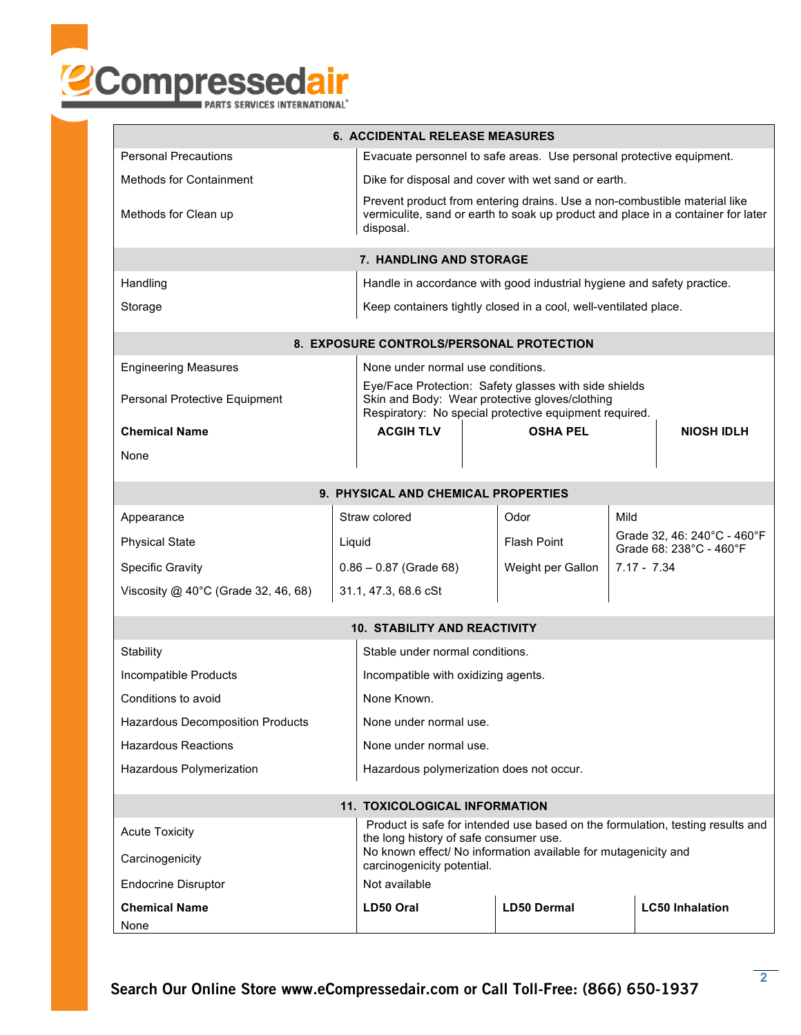

|                                                                      | <b>6. ACCIDENTAL RELEASE MEASURES</b>                                                                                                                                      |                                                                                                                                                                   |                                                     |                                                        |                   |               |  |  |  |
|----------------------------------------------------------------------|----------------------------------------------------------------------------------------------------------------------------------------------------------------------------|-------------------------------------------------------------------------------------------------------------------------------------------------------------------|-----------------------------------------------------|--------------------------------------------------------|-------------------|---------------|--|--|--|
| <b>Personal Precautions</b>                                          | Evacuate personnel to safe areas. Use personal protective equipment.                                                                                                       |                                                                                                                                                                   |                                                     |                                                        |                   |               |  |  |  |
| <b>Methods for Containment</b>                                       |                                                                                                                                                                            |                                                                                                                                                                   | Dike for disposal and cover with wet sand or earth. |                                                        |                   |               |  |  |  |
| Methods for Clean up                                                 | Prevent product from entering drains. Use a non-combustible material like<br>vermiculite, sand or earth to soak up product and place in a container for later<br>disposal. |                                                                                                                                                                   |                                                     |                                                        |                   |               |  |  |  |
| 7. HANDLING AND STORAGE                                              |                                                                                                                                                                            |                                                                                                                                                                   |                                                     |                                                        |                   |               |  |  |  |
| Handling                                                             | Handle in accordance with good industrial hygiene and safety practice.                                                                                                     |                                                                                                                                                                   |                                                     |                                                        |                   |               |  |  |  |
| Storage                                                              | Keep containers tightly closed in a cool, well-ventilated place.                                                                                                           |                                                                                                                                                                   |                                                     |                                                        |                   |               |  |  |  |
|                                                                      | 8. EXPOSURE CONTROLS/PERSONAL PROTECTION                                                                                                                                   |                                                                                                                                                                   |                                                     |                                                        |                   |               |  |  |  |
| <b>Engineering Measures</b>                                          |                                                                                                                                                                            | None under normal use conditions.                                                                                                                                 |                                                     |                                                        |                   |               |  |  |  |
| Personal Protective Equipment                                        |                                                                                                                                                                            | Eye/Face Protection: Safety glasses with side shields<br>Skin and Body: Wear protective gloves/clothing<br>Respiratory: No special protective equipment required. |                                                     |                                                        |                   |               |  |  |  |
| <b>Chemical Name</b>                                                 |                                                                                                                                                                            | <b>ACGIH TLV</b>                                                                                                                                                  |                                                     | <b>OSHA PEL</b>                                        | <b>NIOSH IDLH</b> |               |  |  |  |
| None                                                                 |                                                                                                                                                                            |                                                                                                                                                                   |                                                     |                                                        |                   |               |  |  |  |
| 9. PHYSICAL AND CHEMICAL PROPERTIES                                  |                                                                                                                                                                            |                                                                                                                                                                   |                                                     |                                                        |                   |               |  |  |  |
| Appearance                                                           |                                                                                                                                                                            | Straw colored                                                                                                                                                     |                                                     | Odor                                                   | Mild              |               |  |  |  |
| <b>Physical State</b>                                                | Liquid                                                                                                                                                                     |                                                                                                                                                                   | <b>Flash Point</b>                                  | Grade 32, 46: 240°C - 460°F<br>Grade 68: 238°C - 460°F |                   |               |  |  |  |
| <b>Specific Gravity</b>                                              |                                                                                                                                                                            | $0.86 - 0.87$ (Grade 68)                                                                                                                                          |                                                     | Weight per Gallon                                      |                   | $7.17 - 7.34$ |  |  |  |
| Viscosity $@$ 40°C (Grade 32, 46, 68)                                |                                                                                                                                                                            | 31.1, 47.3, 68.6 cSt                                                                                                                                              |                                                     |                                                        |                   |               |  |  |  |
|                                                                      |                                                                                                                                                                            | <b>10. STABILITY AND REACTIVITY</b>                                                                                                                               |                                                     |                                                        |                   |               |  |  |  |
| Stability                                                            | Stable under normal conditions.                                                                                                                                            |                                                                                                                                                                   |                                                     |                                                        |                   |               |  |  |  |
| Incompatible Products                                                | Incompatible with oxidizing agents.                                                                                                                                        |                                                                                                                                                                   |                                                     |                                                        |                   |               |  |  |  |
| Conditions to avoid                                                  | None Known.                                                                                                                                                                |                                                                                                                                                                   |                                                     |                                                        |                   |               |  |  |  |
| <b>Hazardous Decomposition Products</b>                              | None under normal use.                                                                                                                                                     |                                                                                                                                                                   |                                                     |                                                        |                   |               |  |  |  |
| <b>Hazardous Reactions</b>                                           | None under normal use.                                                                                                                                                     |                                                                                                                                                                   |                                                     |                                                        |                   |               |  |  |  |
| Hazardous Polymerization<br>Hazardous polymerization does not occur. |                                                                                                                                                                            |                                                                                                                                                                   |                                                     |                                                        |                   |               |  |  |  |
|                                                                      |                                                                                                                                                                            |                                                                                                                                                                   |                                                     |                                                        |                   |               |  |  |  |
|                                                                      | <b>11. TOXICOLOGICAL INFORMATION</b><br>Product is safe for intended use based on the formulation, testing results and                                                     |                                                                                                                                                                   |                                                     |                                                        |                   |               |  |  |  |
| <b>Acute Toxicity</b><br>Carcinogenicity                             |                                                                                                                                                                            | the long history of safe consumer use.<br>No known effect/ No information available for mutagenicity and                                                          |                                                     |                                                        |                   |               |  |  |  |
| <b>Endocrine Disruptor</b>                                           |                                                                                                                                                                            | carcinogenicity potential.<br>Not available                                                                                                                       |                                                     |                                                        |                   |               |  |  |  |
| <b>Chemical Name</b>                                                 |                                                                                                                                                                            | <b>LD50 Dermal</b><br><b>LC50 Inhalation</b><br>LD50 Oral                                                                                                         |                                                     |                                                        |                   |               |  |  |  |
| None                                                                 |                                                                                                                                                                            |                                                                                                                                                                   |                                                     |                                                        |                   |               |  |  |  |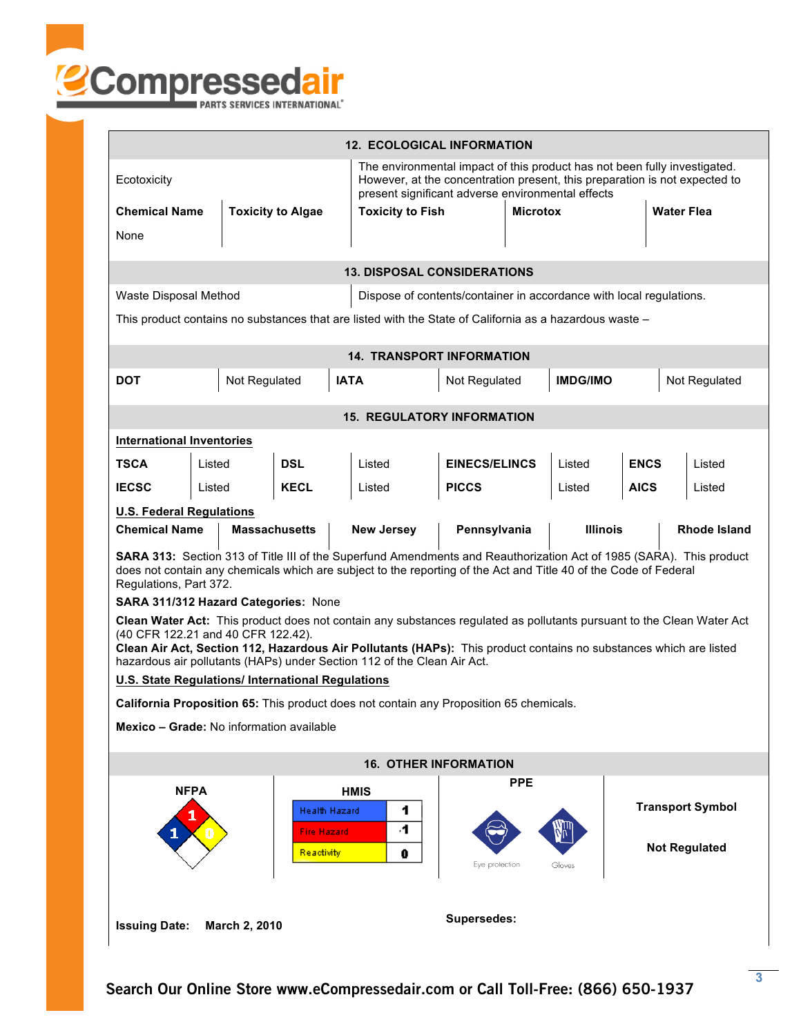

| <b>12. ECOLOGICAL INFORMATION</b>                                                                                                                                                                                                                                                                                                                                                                                                                        |               |                      |                                  |                                       |                 |                       |                   |  |                      |
|----------------------------------------------------------------------------------------------------------------------------------------------------------------------------------------------------------------------------------------------------------------------------------------------------------------------------------------------------------------------------------------------------------------------------------------------------------|---------------|----------------------|----------------------------------|---------------------------------------|-----------------|-----------------------|-------------------|--|----------------------|
| The environmental impact of this product has not been fully investigated.<br>However, at the concentration present, this preparation is not expected to<br>Ecotoxicity<br>present significant adverse environmental effects                                                                                                                                                                                                                              |               |                      |                                  |                                       |                 |                       |                   |  |                      |
| <b>Chemical Name</b><br><b>Toxicity to Algae</b>                                                                                                                                                                                                                                                                                                                                                                                                         |               |                      | <b>Toxicity to Fish</b>          |                                       | <b>Microtox</b> |                       | <b>Water Flea</b> |  |                      |
| None                                                                                                                                                                                                                                                                                                                                                                                                                                                     |               |                      |                                  |                                       |                 |                       |                   |  |                      |
| <b>13. DISPOSAL CONSIDERATIONS</b>                                                                                                                                                                                                                                                                                                                                                                                                                       |               |                      |                                  |                                       |                 |                       |                   |  |                      |
| Waste Disposal Method<br>Dispose of contents/container in accordance with local regulations.                                                                                                                                                                                                                                                                                                                                                             |               |                      |                                  |                                       |                 |                       |                   |  |                      |
| This product contains no substances that are listed with the State of California as a hazardous waste -                                                                                                                                                                                                                                                                                                                                                  |               |                      |                                  |                                       |                 |                       |                   |  |                      |
|                                                                                                                                                                                                                                                                                                                                                                                                                                                          |               |                      |                                  |                                       |                 |                       |                   |  |                      |
|                                                                                                                                                                                                                                                                                                                                                                                                                                                          |               |                      | <b>14. TRANSPORT INFORMATION</b> |                                       |                 |                       |                   |  |                      |
| <b>DOT</b>                                                                                                                                                                                                                                                                                                                                                                                                                                               | Not Regulated |                      | <b>IATA</b>                      | <b>IMDG/IMO</b><br>Not Regulated      |                 |                       | Not Regulated     |  |                      |
| <b>15. REGULATORY INFORMATION</b>                                                                                                                                                                                                                                                                                                                                                                                                                        |               |                      |                                  |                                       |                 |                       |                   |  |                      |
| <b>International Inventories</b>                                                                                                                                                                                                                                                                                                                                                                                                                         |               |                      |                                  |                                       |                 |                       |                   |  |                      |
| <b>TSCA</b>                                                                                                                                                                                                                                                                                                                                                                                                                                              | Listed        | <b>DSL</b>           | Listed                           | <b>EINECS/ELINCS</b>                  |                 | <b>ENCS</b><br>Listed |                   |  | I isted              |
| <b>IECSC</b>                                                                                                                                                                                                                                                                                                                                                                                                                                             | Listed        | <b>KECL</b>          | Listed                           | <b>PICCS</b>                          |                 | Listed                | <b>AICS</b>       |  | Listed               |
| <b>U.S. Federal Regulations</b>                                                                                                                                                                                                                                                                                                                                                                                                                          |               |                      |                                  |                                       |                 |                       |                   |  |                      |
| <b>Chemical Name</b>                                                                                                                                                                                                                                                                                                                                                                                                                                     |               | <b>Massachusetts</b> | <b>New Jersey</b>                | Pennsylvania                          |                 | <b>Illinois</b>       |                   |  | Rhode Island         |
| SARA 313: Section 313 of Title III of the Superfund Amendments and Reauthorization Act of 1985 (SARA). This product<br>does not contain any chemicals which are subject to the reporting of the Act and Title 40 of the Code of Federal<br>Regulations, Part 372.                                                                                                                                                                                        |               |                      |                                  |                                       |                 |                       |                   |  |                      |
| SARA 311/312 Hazard Categories: None<br>Clean Water Act: This product does not contain any substances regulated as pollutants pursuant to the Clean Water Act<br>(40 CFR 122.21 and 40 CFR 122.42).<br>Clean Air Act, Section 112, Hazardous Air Pollutants (HAPs): This product contains no substances which are listed<br>hazardous air pollutants (HAPs) under Section 112 of the Clean Air Act.<br>U.S. State Regulations/ International Regulations |               |                      |                                  |                                       |                 |                       |                   |  |                      |
| <b>California Proposition 65:</b> This product does not contain any Proposition 65 chemicals.                                                                                                                                                                                                                                                                                                                                                            |               |                      |                                  |                                       |                 |                       |                   |  |                      |
| Mexico - Grade: No information available                                                                                                                                                                                                                                                                                                                                                                                                                 |               |                      |                                  |                                       |                 |                       |                   |  |                      |
| <b>16. OTHER INFORMATION</b>                                                                                                                                                                                                                                                                                                                                                                                                                             |               |                      |                                  |                                       |                 |                       |                   |  |                      |
| <b>NFPA</b><br><b>Health Hazard</b><br><b>Fire Hazard</b>                                                                                                                                                                                                                                                                                                                                                                                                |               |                      | <b>HMIS</b><br>1<br>4.           | <b>PPE</b><br><b>Transport Symbol</b> |                 |                       |                   |  |                      |
| <b>Issuing Date:</b>                                                                                                                                                                                                                                                                                                                                                                                                                                     | March 2, 2010 | Reactivity           | 0                                | Eye protection<br>Supersedes:         |                 | Gloves                |                   |  | <b>Not Regulated</b> |
|                                                                                                                                                                                                                                                                                                                                                                                                                                                          |               |                      |                                  |                                       |                 |                       |                   |  |                      |